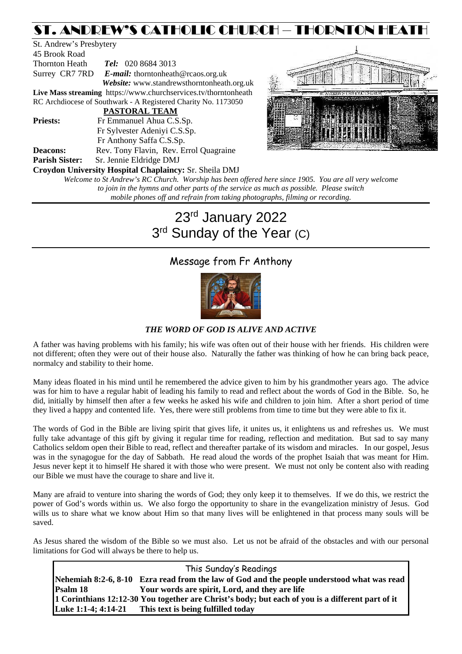# ST. ANDREW'S CATHOLIC CHURCH – THORNTON HEATH

| St. Andrew's Presbytery |                                                                 |
|-------------------------|-----------------------------------------------------------------|
| 45 Brook Road           |                                                                 |
| Thornton Heath          | <b>Tel:</b> 020 8684 3013                                       |
|                         | Surrey CR7 7RD E-mail: thorntonheath@rcaos.org.uk               |
|                         | Website: www.standrewsthorntonheath.org.uk                      |
|                         | Live Mass streaming https://www.churchservices.tv/thorntonheath |
|                         | RC Archdiocese of Southwark - A Registered Charity No. 1173050  |
|                         | <b>PASTORAL TEAM</b>                                            |
| <b>Priests:</b>         | Fr Emmanuel Ahua C.S.Sp.                                        |
|                         | Fr Sylvester Adeniyi C.S.Sp.                                    |
|                         | Fr Anthony Saffa C.S.Sp.                                        |
| <b>Deacons:</b>         | Rev. Tony Flavin, Rev. Errol Quagraine                          |
| <b>Parish Sister:</b>   | Sr. Jennie Eldridge DMJ                                         |
|                         | <b>Croydon University Hospital Chaplaincy: Sr. Sheila DMJ</b>   |
|                         | Welcome to St Andrew's RC Church Worshin has been offered       |



*Worship has been offered here since 1905. You are all very welcome to join in the hymns and other parts of the service as much as possible. Please switch mobile phones off and refrain from taking photographs, filming or recording.*

# 23rd January 2022 3rd Sunday of the Year (C)

# Message from Fr Anthony



*THE WORD OF GOD IS ALIVE AND ACTIVE*

A father was having problems with his family; his wife was often out of their house with her friends. His children were not different; often they were out of their house also. Naturally the father was thinking of how he can bring back peace, normalcy and stability to their home.

Many ideas floated in his mind until he remembered the advice given to him by his grandmother years ago. The advice was for him to have a regular habit of leading his family to read and reflect about the words of God in the Bible. So, he did, initially by himself then after a few weeks he asked his wife and children to join him. After a short period of time they lived a happy and contented life. Yes, there were still problems from time to time but they were able to fix it.

The words of God in the Bible are living spirit that gives life, it unites us, it enlightens us and refreshes us. We must fully take advantage of this gift by giving it regular time for reading, reflection and meditation. But sad to say many Catholics seldom open their Bible to read, reflect and thereafter partake of its wisdom and miracles. In our gospel, Jesus was in the synagogue for the day of Sabbath. He read aloud the words of the prophet Isaiah that was meant for Him. Jesus never kept it to himself He shared it with those who were present. We must not only be content also with reading our Bible we must have the courage to share and live it.

Many are afraid to venture into sharing the words of God; they only keep it to themselves. If we do this, we restrict the power of God's words within us. We also forgo the opportunity to share in the evangelization ministry of Jesus. God wills us to share what we know about Him so that many lives will be enlightened in that process many souls will be saved.

As Jesus shared the wisdom of the Bible so we must also. Let us not be afraid of the obstacles and with our personal limitations for God will always be there to help us.

This Sunday's Readings **Nehemiah 8:2-6, 8-10 Ezra read from the law of God and the people understood what was read Psalm 18 Your words are spirit, Lord, and they are life 1 Corinthians 12:12-30 You together are Christ's body; but each of you is a different part of it Luke 1:1-4; 4:14-21 This text is being fulfilled today**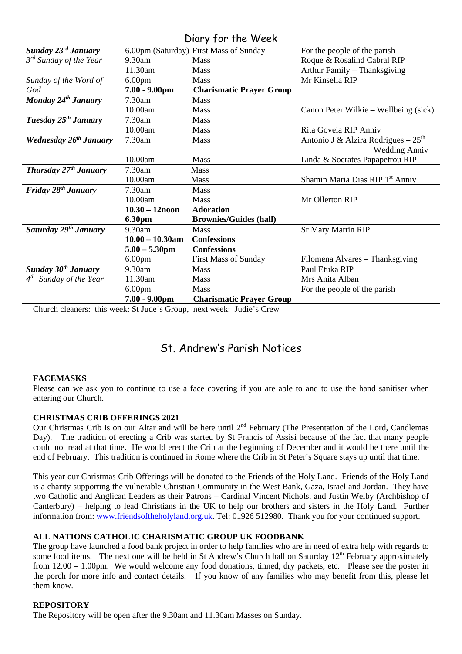## Diary for the Week

|                                    |                    | 5.1                                    |                                             |
|------------------------------------|--------------------|----------------------------------------|---------------------------------------------|
| Sunday 23rd January                |                    | 6.00pm (Saturday) First Mass of Sunday | For the people of the parish                |
| 3 <sup>rd</sup> Sunday of the Year | 9.30am             | <b>Mass</b>                            | Roque & Rosalind Cabral RIP                 |
|                                    | 11.30am            | <b>Mass</b>                            | Arthur Family - Thanksgiving                |
| Sunday of the Word of              | 6.00 <sub>pm</sub> | Mass                                   | Mr Kinsella RIP                             |
| God                                | $7.00 - 9.00$ pm   | <b>Charismatic Prayer Group</b>        |                                             |
| Monday 24 <sup>th</sup> January    | 7.30am             | Mass                                   |                                             |
|                                    | 10.00am            | <b>Mass</b>                            | Canon Peter Wilkie – Wellbeing (sick)       |
| Tuesday 25 <sup>th</sup> January   | $7.30$ am          | <b>Mass</b>                            |                                             |
|                                    | 10.00am            | <b>Mass</b>                            | Rita Goveia RIP Anniv                       |
| Wednesday 26 <sup>th</sup> January | 7.30am             | Mass                                   | Antonio J & Alzira Rodrigues $-25th$        |
|                                    |                    |                                        | <b>Wedding Anniv</b>                        |
|                                    | 10.00am            | <b>Mass</b>                            | Linda & Socrates Papapetrou RIP             |
| Thursday 27 <sup>th</sup> January  | 7.30am             | <b>Mass</b>                            |                                             |
|                                    | 10.00am            | Mass                                   | Shamin Maria Dias RIP 1 <sup>st</sup> Anniv |
| Friday 28 <sup>th</sup> January    | $7.30$ am          | <b>Mass</b>                            |                                             |
|                                    | 10.00am            | <b>Mass</b>                            | Mr Ollerton RIP                             |
|                                    | $10.30 - 12$ noon  | <b>Adoration</b>                       |                                             |
|                                    | <b>6.30pm</b>      | <b>Brownies/Guides (hall)</b>          |                                             |
| Saturday 29 <sup>th</sup> January  | 9.30am             | <b>Mass</b>                            | <b>Sr Mary Martin RIP</b>                   |
|                                    | $10.00 - 10.30$ am | <b>Confessions</b>                     |                                             |
|                                    | $5.00 - 5.30$ pm   | <b>Confessions</b>                     |                                             |
|                                    | 6.00 <sub>pm</sub> | <b>First Mass of Sunday</b>            | Filomena Alvares – Thanksgiving             |
| Sunday $30th$ January              | 9.30am             | <b>Mass</b>                            | Paul Etuka RIP                              |
| $4^{th}$ Sunday of the Year        | 11.30am            | <b>Mass</b>                            | Mrs Anita Alban                             |
|                                    | 6.00 <sub>pm</sub> | <b>Mass</b>                            | For the people of the parish                |
|                                    | $7.00 - 9.00$ pm   | <b>Charismatic Prayer Group</b>        |                                             |

Church cleaners: this week: St Jude's Group, next week: Judie's Crew

# St. Andrew's Parish Notices

### **FACEMASKS**

Please can we ask you to continue to use a face covering if you are able to and to use the hand sanitiser when entering our Church.

### **CHRISTMAS CRIB OFFERINGS 2021**

Our Christmas Crib is on our Altar and will be here until 2nd February (The Presentation of the Lord, Candlemas Day). The tradition of erecting a Crib was started by St Francis of Assisi because of the fact that many people could not read at that time. He would erect the Crib at the beginning of December and it would be there until the end of February. This tradition is continued in Rome where the Crib in St Peter's Square stays up until that time.

This year our Christmas Crib Offerings will be donated to the Friends of the Holy Land. Friends of the Holy Land is a charity supporting the vulnerable Christian Community in the West Bank, Gaza, Israel and Jordan. They have two Catholic and Anglican Leaders as their Patrons – Cardinal Vincent Nichols, and Justin Welby (Archbishop of Canterbury) – helping to lead Christians in the UK to help our brothers and sisters in the Holy Land. Further information from: [www.friendsoftheholyland.org.uk.](http://www.friendsoftheholyland.org.uk/) Tel: 01926 512980. Thank you for your continued support.

### **ALL NATIONS CATHOLIC CHARISMATIC GROUP UK FOODBANK**

The group have launched a food bank project in order to help families who are in need of extra help with regards to some food items. The next one will be held in St Andrew's Church hall on Saturday 12<sup>th</sup> February approximately from 12.00 – 1.00pm. We would welcome any food donations, tinned, dry packets, etc. Please see the poster in the porch for more info and contact details. If you know of any families who may benefit from this, please let them know.

### **REPOSITORY**

The Repository will be open after the 9.30am and 11.30am Masses on Sunday.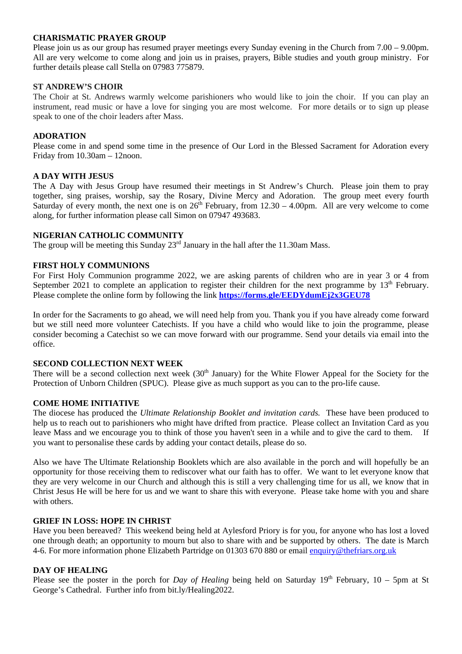#### **CHARISMATIC PRAYER GROUP**

Please join us as our group has resumed prayer meetings every Sunday evening in the Church from 7.00 – 9.00pm. All are very welcome to come along and join us in praises, prayers, Bible studies and youth group ministry. For further details please call Stella on 07983 775879.

#### **ST ANDREW'S CHOIR**

The Choir at St. Andrews warmly welcome parishioners who would like to join the choir. If you can play an instrument, read music or have a love for singing you are most welcome. For more details or to sign up please speak to one of the choir leaders after Mass.

#### **ADORATION**

Please come in and spend some time in the presence of Our Lord in the Blessed Sacrament for Adoration every Friday from 10.30am – 12noon.

#### **A DAY WITH JESUS**

The A Day with Jesus Group have resumed their meetings in St Andrew's Church. Please join them to pray together, sing praises, worship, say the Rosary, Divine Mercy and Adoration. The group meet every fourth Saturday of every month, the next one is on  $26<sup>th</sup>$  February, from  $12.30 - 4.00$ pm. All are very welcome to come along, for further information please call Simon on 07947 493683.

#### **NIGERIAN CATHOLIC COMMUNITY**

The group will be meeting this Sunday  $23<sup>rd</sup>$  January in the hall after the 11.30am Mass.

#### **FIRST HOLY COMMUNIONS**

For First Holy Communion programme 2022, we are asking parents of children who are in year 3 or 4 from September 2021 to complete an application to register their children for the next programme by  $13<sup>th</sup>$  February. Please complete the online form by following the link **<https://forms.gle/EEDYdumEj2x3GEU78>**

In order for the Sacraments to go ahead, we will need help from you. Thank you if you have already come forward but we still need more volunteer Catechists. If you have a child who would like to join the programme, please consider becoming a Catechist so we can move forward with our programme. Send your details via email into the office.

#### **SECOND COLLECTION NEXT WEEK**

There will be a second collection next week  $(30<sup>th</sup>$  January) for the White Flower Appeal for the Society for the Protection of Unborn Children (SPUC). Please give as much support as you can to the pro-life cause.

#### **COME HOME INITIATIVE**

The diocese has produced the *Ultimate Relationship Booklet and invitation cards.* These have been produced to help us to reach out to parishioners who might have drifted from practice. Please collect an Invitation Card as you leave Mass and we encourage you to think of those you haven't seen in a while and to give the card to them. If you want to personalise these cards by adding your contact details, please do so.

Also we have The Ultimate Relationship Booklets which are also available in the porch and will hopefully be an opportunity for those receiving them to rediscover what our faith has to offer. We want to let everyone know that they are very welcome in our Church and although this is still a very challenging time for us all, we know that in Christ Jesus He will be here for us and we want to share this with everyone. Please take home with you and share with others.

#### **GRIEF IN LOSS: HOPE IN CHRIST**

Have you been bereaved? This weekend being held at Aylesford Priory is for you, for anyone who has lost a loved one through death; an opportunity to mourn but also to share with and be supported by others. The date is March 4-6. For more information phone Elizabeth Partridge on 01303 670 880 or email [enquiry@thefriars.org.uk](mailto:enquiry@thefriars.org.uk)

#### **DAY OF HEALING**

Please see the poster in the porch for *Day of Healing* being held on Saturday  $19<sup>th</sup>$  February,  $10 - 5$ pm at St George's Cathedral. Further info from bit.ly/Healing2022.